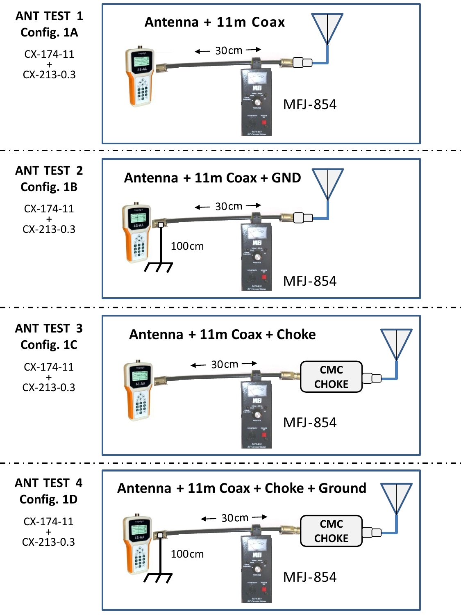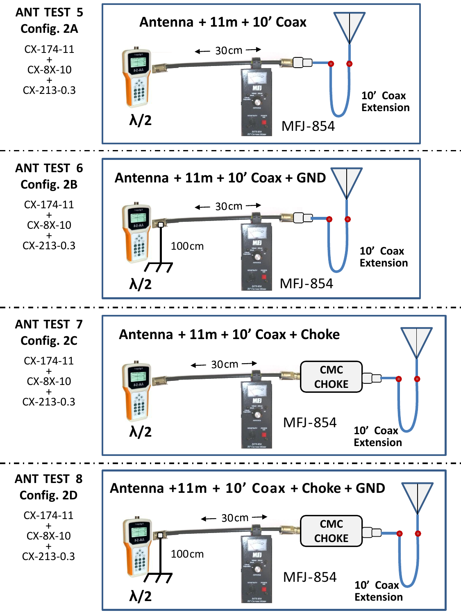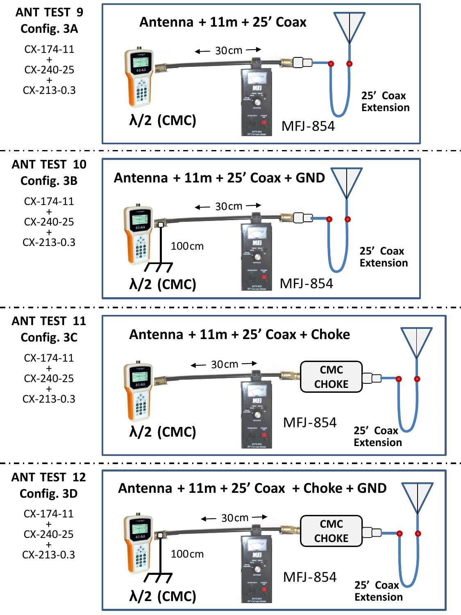